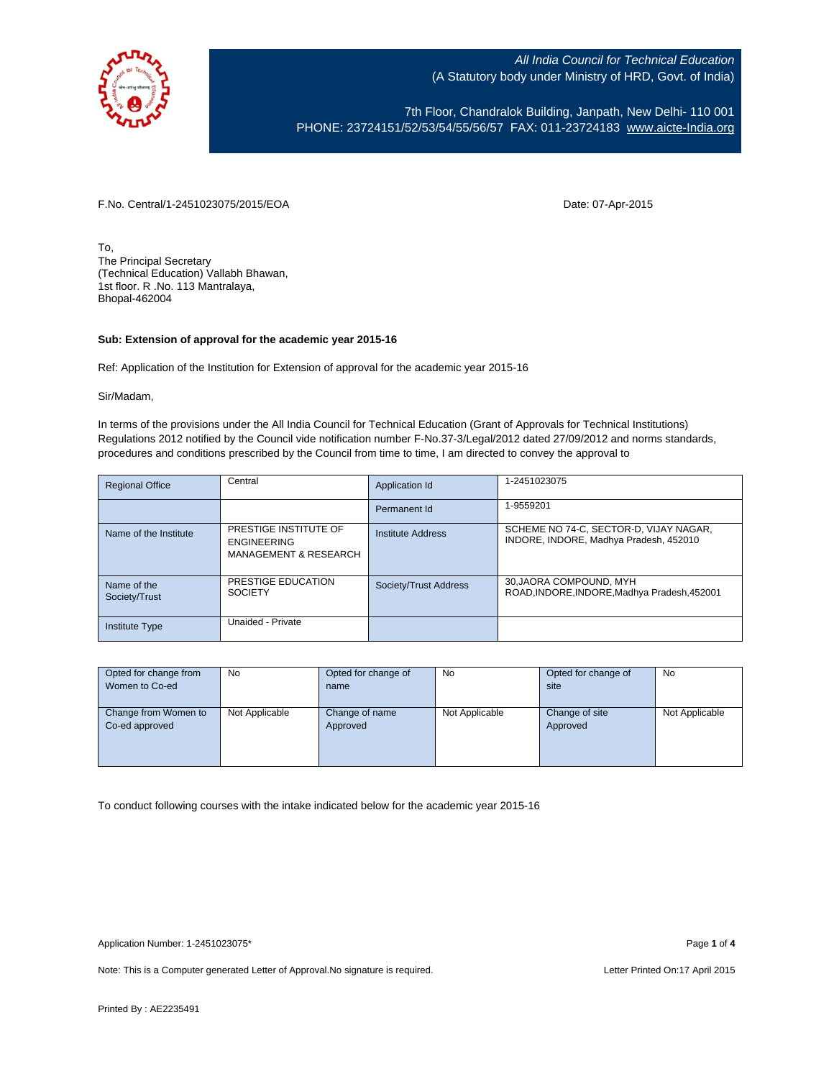

7th Floor, Chandralok Building, Janpath, New Delhi- 110 001 PHONE: 23724151/52/53/54/55/56/57 FAX: 011-23724183 [www.aicte-India.org](http://www.aicte-india.org/)

F.No. Central/1-2451023075/2015/EOA Date: 07-Apr-2015

To, The Principal Secretary (Technical Education) Vallabh Bhawan, 1st floor. R .No. 113 Mantralaya, Bhopal-462004

## **Sub: Extension of approval for the academic year 2015-16**

Ref: Application of the Institution for Extension of approval for the academic year 2015-16

Sir/Madam,

In terms of the provisions under the All India Council for Technical Education (Grant of Approvals for Technical Institutions) Regulations 2012 notified by the Council vide notification number F-No.37-3/Legal/2012 dated 27/09/2012 and norms standards, procedures and conditions prescribed by the Council from time to time, I am directed to convey the approval to

| <b>Regional Office</b>       | Central                                                                         | Application Id        | 1-2451023075                                                                     |
|------------------------------|---------------------------------------------------------------------------------|-----------------------|----------------------------------------------------------------------------------|
|                              |                                                                                 | Permanent Id          | 1-9559201                                                                        |
| Name of the Institute        | PRESTIGE INSTITUTE OF<br><b>ENGINEERING</b><br><b>MANAGEMENT &amp; RESEARCH</b> | Institute Address     | SCHEME NO 74-C, SECTOR-D, VIJAY NAGAR,<br>INDORE, INDORE, Madhya Pradesh, 452010 |
| Name of the<br>Society/Trust | PRESTIGE EDUCATION<br><b>SOCIETY</b>                                            | Society/Trust Address | 30, JAORA COMPOUND, MYH<br>ROAD, INDORE, INDORE, Madhya Pradesh, 452001          |
| <b>Institute Type</b>        | Unaided - Private                                                               |                       |                                                                                  |

| Opted for change from | No             | Opted for change of | No             | Opted for change of | No             |
|-----------------------|----------------|---------------------|----------------|---------------------|----------------|
| Women to Co-ed        |                | name                |                | site                |                |
|                       |                |                     |                |                     |                |
| Change from Women to  | Not Applicable | Change of name      | Not Applicable | Change of site      | Not Applicable |
| Co-ed approved        |                | Approved            |                | Approved            |                |
|                       |                |                     |                |                     |                |
|                       |                |                     |                |                     |                |
|                       |                |                     |                |                     |                |

To conduct following courses with the intake indicated below for the academic year 2015-16

Note: This is a Computer generated Letter of Approval. No signature is required. Letter Printed On:17 April 2015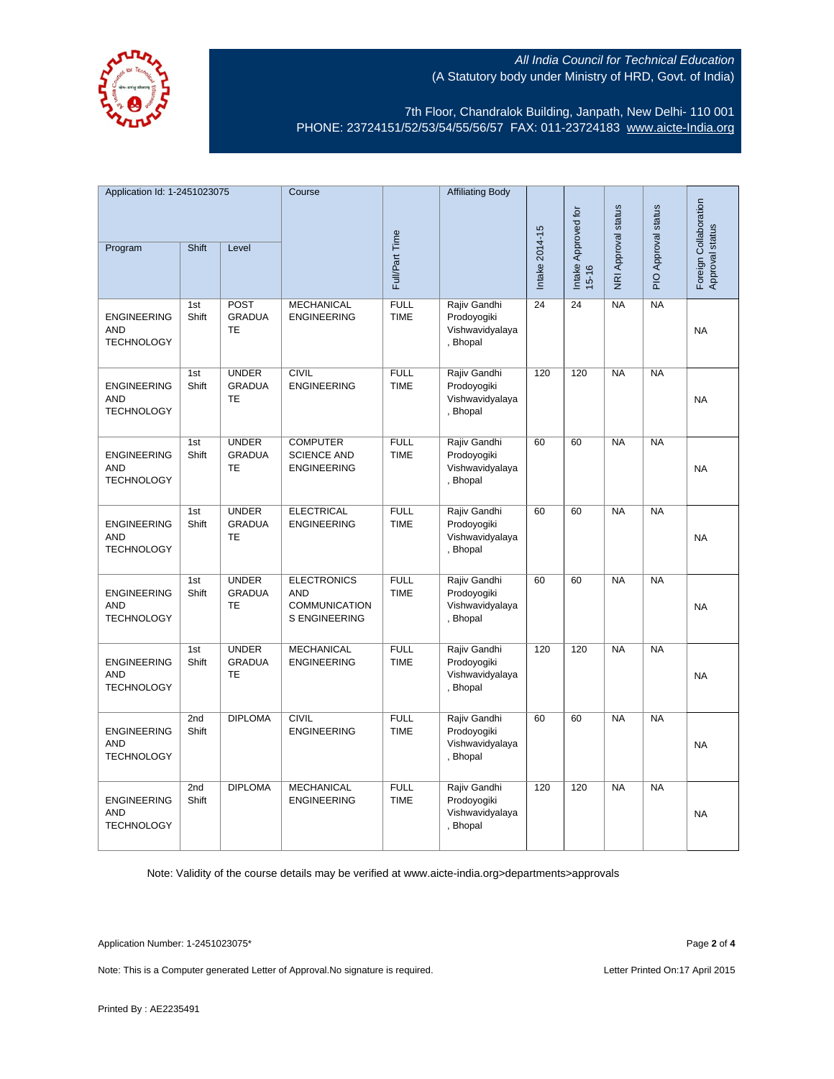

7th Floor, Chandralok Building, Janpath, New Delhi- 110 001 PHONE: 23724151/52/53/54/55/56/57 FAX: 011-23724183 [www.aicte-India.org](http://www.aicte-india.org/)

| Application Id: 1-2451023075                          |              | Course                                     |                                                                                  | <b>Affiliating Body</b>    |                                                            |                |                                  |                     |                     |                                          |
|-------------------------------------------------------|--------------|--------------------------------------------|----------------------------------------------------------------------------------|----------------------------|------------------------------------------------------------|----------------|----------------------------------|---------------------|---------------------|------------------------------------------|
| Program                                               | Shift        | Level                                      |                                                                                  | Full/Part Time             |                                                            | Intake 2014-15 | Intake Approved for<br>$15 - 16$ | NRI Approval status | PIO Approval status | Foreign Collaboration<br>Approval status |
| <b>ENGINEERING</b><br><b>AND</b><br><b>TECHNOLOGY</b> | 1st<br>Shift | POST<br><b>GRADUA</b><br>TE                | <b>MECHANICAL</b><br><b>ENGINEERING</b>                                          | <b>FULL</b><br><b>TIME</b> | Rajiv Gandhi<br>Prodoyogiki<br>Vishwavidyalaya<br>, Bhopal | 24             | 24                               | NA                  | NA                  | <b>NA</b>                                |
| <b>ENGINEERING</b><br><b>AND</b><br><b>TECHNOLOGY</b> | 1st<br>Shift | <b>UNDER</b><br><b>GRADUA</b><br>TE        | <b>CIVIL</b><br><b>ENGINEERING</b>                                               | <b>FULL</b><br><b>TIME</b> | Rajiv Gandhi<br>Prodoyogiki<br>Vishwavidyalaya<br>, Bhopal | 120            | 120                              | <b>NA</b>           | $N_A$               | <b>NA</b>                                |
| <b>ENGINEERING</b><br><b>AND</b><br><b>TECHNOLOGY</b> | 1st<br>Shift | <b>UNDER</b><br><b>GRADUA</b><br><b>TE</b> | <b>COMPUTER</b><br><b>SCIENCE AND</b><br><b>ENGINEERING</b>                      | <b>FULL</b><br><b>TIME</b> | Rajiv Gandhi<br>Prodoyogiki<br>Vishwavidyalaya<br>, Bhopal | 60             | 60                               | <b>NA</b>           | <b>NA</b>           | <b>NA</b>                                |
| <b>ENGINEERING</b><br><b>AND</b><br><b>TECHNOLOGY</b> | 1st<br>Shift | <b>UNDER</b><br><b>GRADUA</b><br>TE        | <b>ELECTRICAL</b><br><b>ENGINEERING</b>                                          | <b>FULL</b><br><b>TIME</b> | Rajiv Gandhi<br>Prodoyogiki<br>Vishwavidyalaya<br>, Bhopal | 60             | 60                               | <b>NA</b>           | <b>NA</b>           | <b>NA</b>                                |
| <b>ENGINEERING</b><br><b>AND</b><br><b>TECHNOLOGY</b> | 1st<br>Shift | <b>UNDER</b><br><b>GRADUA</b><br><b>TE</b> | <b>ELECTRONICS</b><br><b>AND</b><br><b>COMMUNICATION</b><br><b>S ENGINEERING</b> | <b>FULL</b><br><b>TIME</b> | Rajiv Gandhi<br>Prodoyogiki<br>Vishwavidyalaya<br>, Bhopal | 60             | 60                               | NA                  | NA                  | <b>NA</b>                                |
| <b>ENGINEERING</b><br><b>AND</b><br><b>TECHNOLOGY</b> | 1st<br>Shift | <b>UNDER</b><br><b>GRADUA</b><br>TE        | <b>MECHANICAL</b><br><b>ENGINEERING</b>                                          | <b>FULL</b><br><b>TIME</b> | Rajiv Gandhi<br>Prodoyogiki<br>Vishwavidyalaya<br>, Bhopal | 120            | 120                              | NA                  | NA                  | <b>NA</b>                                |
| <b>ENGINEERING</b><br><b>AND</b><br><b>TECHNOLOGY</b> | 2nd<br>Shift | <b>DIPLOMA</b>                             | <b>CIVIL</b><br><b>ENGINEERING</b>                                               | <b>FULL</b><br><b>TIME</b> | Rajiv Gandhi<br>Prodoyogiki<br>Vishwavidyalaya<br>, Bhopal | 60             | 60                               | <b>NA</b>           | <b>NA</b>           | <b>NA</b>                                |
| <b>ENGINEERING</b><br><b>AND</b><br><b>TECHNOLOGY</b> | 2nd<br>Shift | <b>DIPLOMA</b>                             | <b>MECHANICAL</b><br><b>ENGINEERING</b>                                          | <b>FULL</b><br><b>TIME</b> | Rajiv Gandhi<br>Prodoyogiki<br>Vishwavidyalaya<br>, Bhopal | 120            | 120                              | <b>NA</b>           | NA                  | <b>NA</b>                                |

Note: Validity of the course details may be verified at www.aicte-india.org>departments>approvals

Application Number: 1-2451023075\* Page **2** of **4**

Note: This is a Computer generated Letter of Approval. No signature is required. Letter Printed On:17 April 2015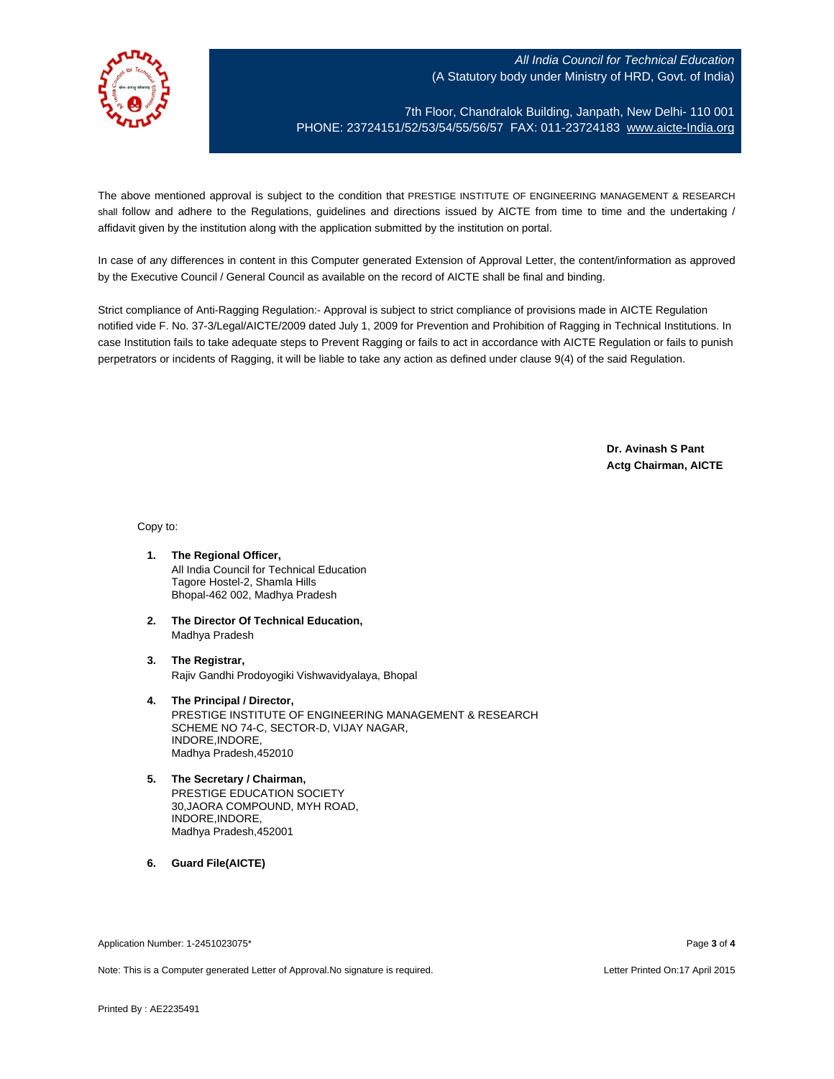

7th Floor, Chandralok Building, Janpath, New Delhi- 110 001 PHONE: 23724151/52/53/54/55/56/57 FAX: 011-23724183 [www.aicte-India.org](http://www.aicte-india.org/)

The above mentioned approval is subject to the condition that PRESTIGE INSTITUTE OF ENGINEERING MANAGEMENT & RESEARCH shall follow and adhere to the Regulations, guidelines and directions issued by AICTE from time to time and the undertaking / affidavit given by the institution along with the application submitted by the institution on portal.

In case of any differences in content in this Computer generated Extension of Approval Letter, the content/information as approved by the Executive Council / General Council as available on the record of AICTE shall be final and binding.

Strict compliance of Anti-Ragging Regulation:- Approval is subject to strict compliance of provisions made in AICTE Regulation notified vide F. No. 37-3/Legal/AICTE/2009 dated July 1, 2009 for Prevention and Prohibition of Ragging in Technical Institutions. In case Institution fails to take adequate steps to Prevent Ragging or fails to act in accordance with AICTE Regulation or fails to punish perpetrators or incidents of Ragging, it will be liable to take any action as defined under clause 9(4) of the said Regulation.

> **Dr. Avinash S Pant Actg Chairman, AICTE**

Copy to:

- **1. The Regional Officer,** All India Council for Technical Education Tagore Hostel-2, Shamla Hills Bhopal-462 002, Madhya Pradesh
- **2. The Director Of Technical Education,** Madhya Pradesh
- **3. The Registrar,** Rajiv Gandhi Prodoyogiki Vishwavidyalaya, Bhopal
- **4. The Principal / Director,** PRESTIGE INSTITUTE OF ENGINEERING MANAGEMENT & RESEARCH SCHEME NO 74-C, SECTOR-D, VIJAY NAGAR, INDORE,INDORE, Madhya Pradesh,452010
- **5. The Secretary / Chairman,** PRESTIGE EDUCATION SOCIETY 30,JAORA COMPOUND, MYH ROAD, INDORE,INDORE, Madhya Pradesh,452001
- **6. Guard File(AICTE)**

Application Number: 1-2451023075\* Page **3** of **4**

Note: This is a Computer generated Letter of Approval.No signature is required. Letter According the state of the Letter Printed On:17 April 2015